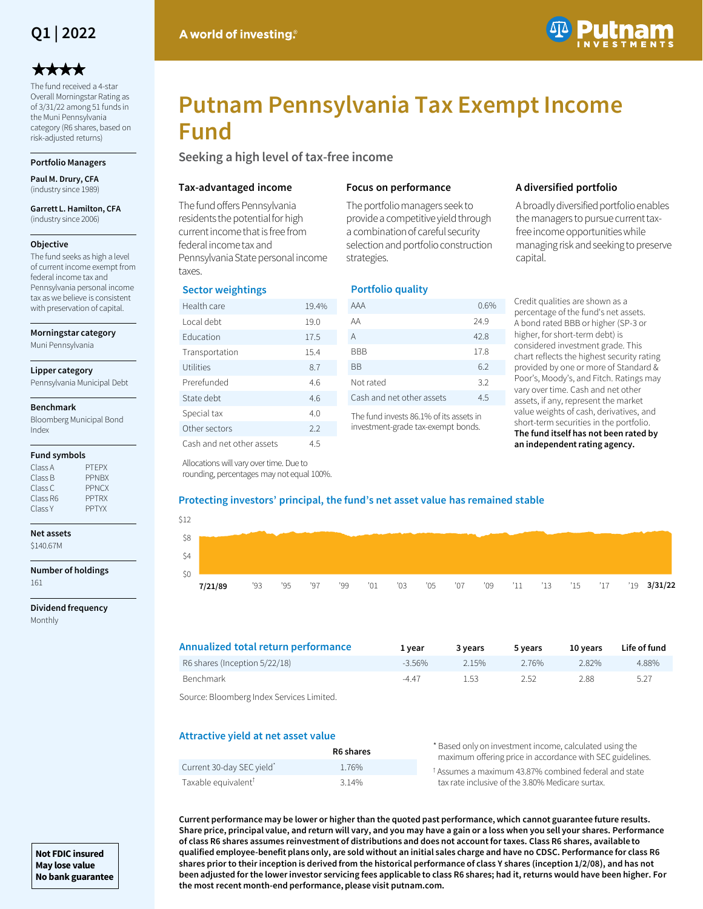

# \*\*\*\*

The fund received a 4-star Overall Morningstar Rating as of 3/31/22 among 51 funds in the Muni Pennsylvania category (R6 shares, based on risk-adjusted returns)

# **Portfolio Managers**

**Paul M. Drury, CFA**  (industry since 1989)

#### **Garrett L. Hamilton, CFA**  (industry since 2006)

#### **Objective**

The fund seeks as high a level of current income exempt from federal income tax and Pennsylvania personal income tax as we believe is consistent with preservation of capital.

**Morningstar category**

Muni Pennsylvania

#### **Lipper category**

Pennsylvania Municipal Debt

#### **Benchmark**

Bloomberg Municipal Bond Index

#### **Fund symbols**

| Class A  | <b>PTFPX</b> |
|----------|--------------|
| Class B  | <b>PPNBX</b> |
| Class C  | <b>PPNCX</b> |
| Class R6 | <b>PPTRX</b> |
| Class Y  | <b>PPTYX</b> |
|          |              |

# **Net assets**

\$140.67M

| Number of holdings |  |
|--------------------|--|
| 161                |  |

**Dividend frequency** Monthly



# **Putnam Pennsylvania Tax Exempt Income Fund**

**Seeking a high level of tax-free income**

## **Tax-advantaged income**

The fund offers Pennsylvania residents the potential for high current income that is free from federal income tax and Pennsylvania State personal income taxes.

# **Sector weightings**

| Health care               | 19.4% |
|---------------------------|-------|
| I ocal debt               | 19.0  |
| <b>Education</b>          | 17.5  |
| Transportation            | 15.4  |
| Utilities                 | 8.7   |
| Prerefunded               | 4.6   |
| State debt                | 4.6   |
| Special tax               | 4.0   |
| Other sectors             | 2.2   |
| Cash and net other assets | 4.5   |

## **Focus on performance**

The portfolio managers seek to provide a competitive yield through a combination of careful security selection and portfolio construction strategies.

# **Portfolio quality**

| AAA                       | 0.6% |
|---------------------------|------|
| AA                        | 24.9 |
| A                         | 42.8 |
| BBB                       | 17.8 |
| ВB                        | 6.2  |
| Not rated                 | 3.2  |
| Cash and net other assets | 4.5  |
|                           |      |

The fund invests 86.1% of its assets in investment-grade tax-exempt bonds.

# **A diversified portfolio**

A broadly diversified portfolio enables the managers to pursue current taxfree income opportunities while managing risk and seeking to preserve capital.

Credit qualities are shown as a percentage of the fund's net assets. A bond rated BBB or higher (SP-3 or higher, for short-term debt) is considered investment grade. This chart reflects the highest security rating provided by one or more of Standard & Poor's, Moody's, and Fitch. Ratings may vary over time. Cash and net other assets, if any, represent the market value weights of cash, derivatives, and short-term securities in the portfolio. **The fund itself has not been rated by an independent rating agency.**

Allocations will vary over time. Due to rounding, percentages may not equal 100%.

## **Protecting investors' principal, the fund's net asset value has remained stable**

| \$12  |         |     |     |     |     |     |     |     |     |             |  |  |                     |
|-------|---------|-----|-----|-----|-----|-----|-----|-----|-----|-------------|--|--|---------------------|
| - \$8 |         |     |     |     |     |     |     |     |     |             |  |  |                     |
| \$4   |         |     |     |     |     |     |     |     |     |             |  |  |                     |
| \$0   |         |     |     |     |     |     |     |     |     |             |  |  |                     |
|       | 7/21/89 | '93 | '95 | '97 | '99 | '01 | '03 | '05 | '07 | '09 '11 '13 |  |  | '15 '17 '19 3/31/22 |

| Annualized total return performance | 1 vear    | 3 years | 5 years | 10 vears | Life of fund |
|-------------------------------------|-----------|---------|---------|----------|--------------|
| R6 shares (Inception 5/22/18)       | $-3.56\%$ | 2 15%   | 2.76%   | 2.82%    | 4.88%        |
| Benchmark                           | $-4.47$   | 1.53    | 2.52    | 2.88     | 5.27         |
|                                     |           |         |         |          |              |

Source: Bloomberg Index Services Limited.

## **Attractive yield at net asset value**

|                                 | R6 shares | * Based only on investment income, calculated using the<br>maximum offering price in accordance with SEC guidelines. |
|---------------------------------|-----------|----------------------------------------------------------------------------------------------------------------------|
| Current 30-day SEC yield*       | 1.76%     | <sup>†</sup> Assumes a maximum 43.87% combined federal and state                                                     |
| Taxable equivalent <sup>T</sup> | 3 1 4 %   | tax rate inclusive of the 3.80% Medicare surtax.                                                                     |

**Current performance may be lower or higher than the quoted past performance, which cannot guarantee future results. Share price, principal value, and return will vary, and you may have a gain or a loss when you sell your shares. Performance of class R6 shares assumes reinvestment of distributions and does not account for taxes. Class R6 shares, available to qualified employee-benefit plans only, are sold without an initial sales charge and have no CDSC. Performance for class R6 shares prior to their inception is derived from the historical performance of class Y shares (inception 1/2/08), and has not been adjusted for the lower investor servicing fees applicable to class R6 shares; had it, returns would have been higher. For the most recent month-end performance, please visit putnam.com.** 

**Not FDIC insured May lose value No bank guarantee**